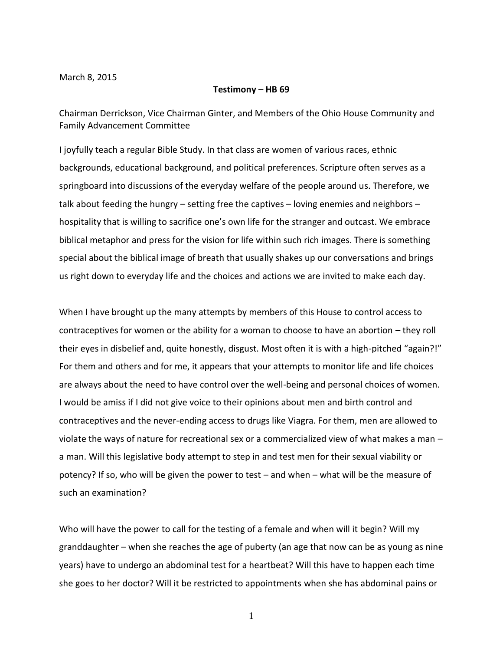March 8, 2015

## **Testimony – HB 69**

Chairman Derrickson, Vice Chairman Ginter, and Members of the Ohio House Community and Family Advancement Committee

I joyfully teach a regular Bible Study. In that class are women of various races, ethnic backgrounds, educational background, and political preferences. Scripture often serves as a springboard into discussions of the everyday welfare of the people around us. Therefore, we talk about feeding the hungry – setting free the captives – loving enemies and neighbors – hospitality that is willing to sacrifice one's own life for the stranger and outcast. We embrace biblical metaphor and press for the vision for life within such rich images. There is something special about the biblical image of breath that usually shakes up our conversations and brings us right down to everyday life and the choices and actions we are invited to make each day.

When I have brought up the many attempts by members of this House to control access to contraceptives for women or the ability for a woman to choose to have an abortion – they roll their eyes in disbelief and, quite honestly, disgust. Most often it is with a high-pitched "again?!" For them and others and for me, it appears that your attempts to monitor life and life choices are always about the need to have control over the well-being and personal choices of women. I would be amiss if I did not give voice to their opinions about men and birth control and contraceptives and the never-ending access to drugs like Viagra. For them, men are allowed to violate the ways of nature for recreational sex or a commercialized view of what makes a man – a man. Will this legislative body attempt to step in and test men for their sexual viability or potency? If so, who will be given the power to test – and when – what will be the measure of such an examination?

Who will have the power to call for the testing of a female and when will it begin? Will my granddaughter – when she reaches the age of puberty (an age that now can be as young as nine years) have to undergo an abdominal test for a heartbeat? Will this have to happen each time she goes to her doctor? Will it be restricted to appointments when she has abdominal pains or

1